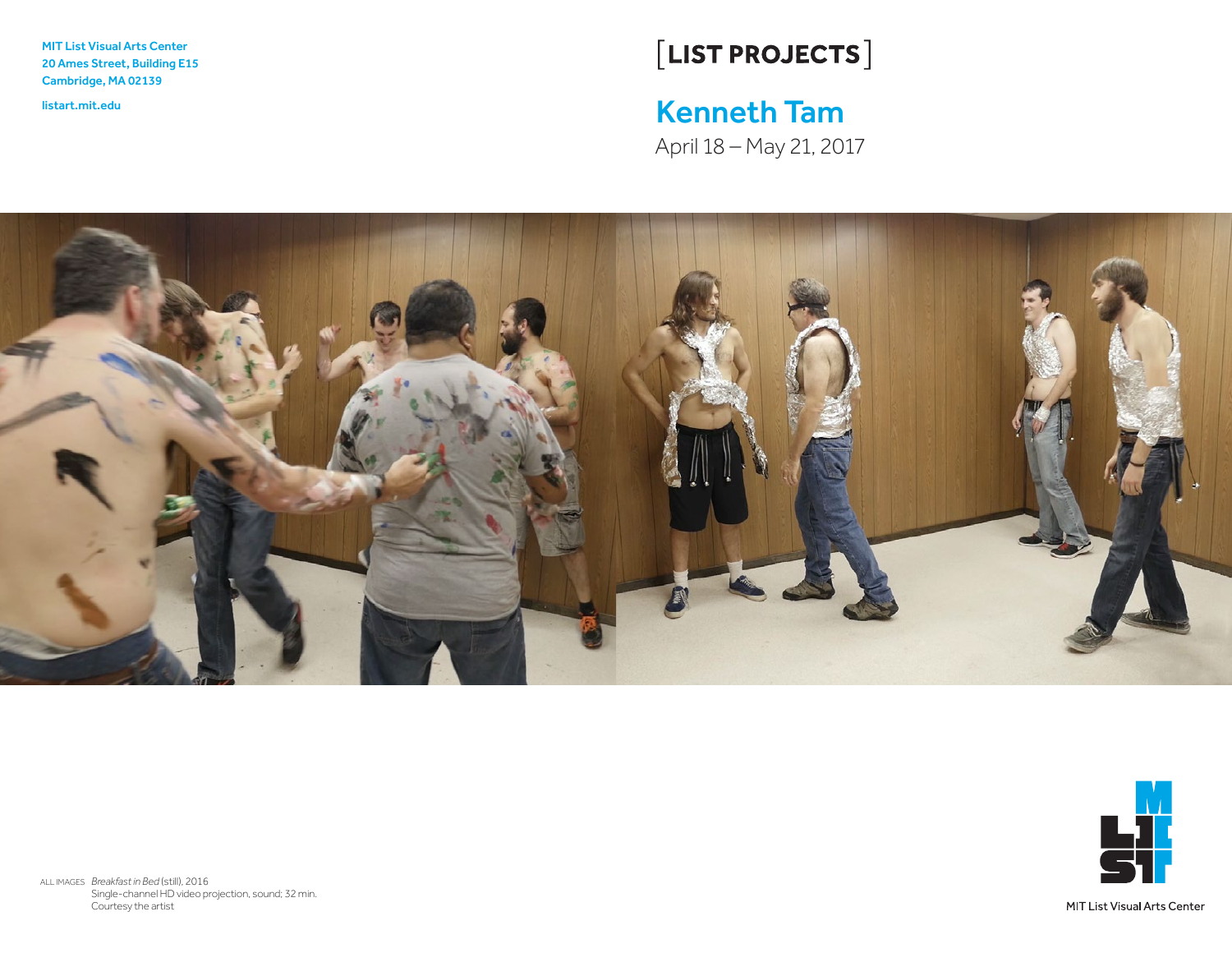MIT List Visual Arts Center 20 Ames Street, Building E15 Cambridge, MA 02139

# $[LIST PROJECTS]$

# <listart.mit.edu>Kenneth Tam

April 18 – May 21, 2017





ALL IMAGES *Breakfast in Bed* (still), 2016 Single-channel HD video projection, sound; 32 min. Courtesy the artist